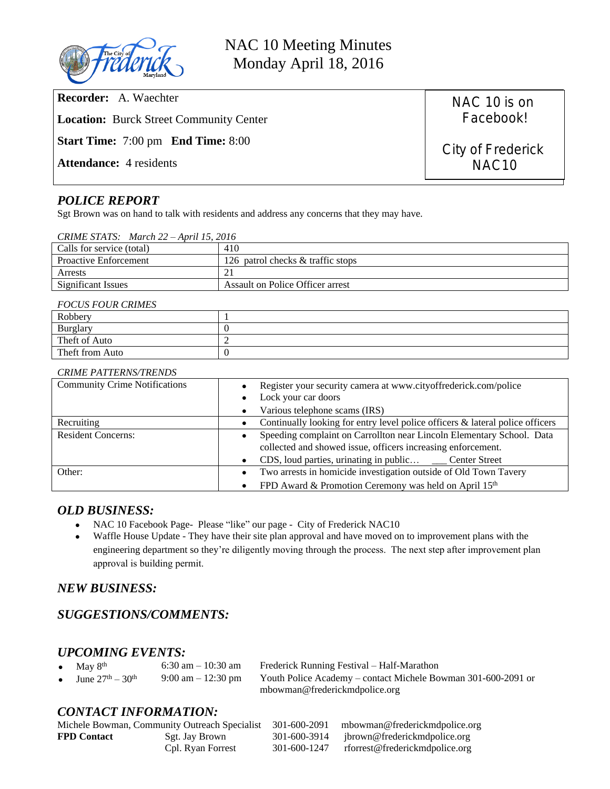

NAC 10 Meeting Minutes Monday April 18, 2016

| <b>Recorder:</b> A. Waechter                     |
|--------------------------------------------------|
| <b>Location:</b> Burck Street Community Center   |
| <b>Start Time:</b> 7:00 pm <b>End Time:</b> 8:00 |
| <b>Attendance:</b> 4 residents                   |

NAC 10 is on Facebook!

City of Frederick NAC10

# *POLICE REPORT*

Sgt Brown was on hand to talk with residents and address any concerns that they may have.

| CRIME STATS: March $22 - April 15$ , $2016$ |                                   |  |  |  |
|---------------------------------------------|-----------------------------------|--|--|--|
| Calls for service (total)                   | 410                               |  |  |  |
| <b>Proactive Enforcement</b>                | 126 patrol checks & traffic stops |  |  |  |
| Arrests                                     |                                   |  |  |  |
| <b>Significant Issues</b>                   | Assault on Police Officer arrest  |  |  |  |

#### *FOCUS FOUR CRIMES*

| - - - - - - - - - - - - - - - - |  |  |  |  |
|---------------------------------|--|--|--|--|
| Robbery                         |  |  |  |  |
| Burglary                        |  |  |  |  |
| Theft of Auto                   |  |  |  |  |
| Theft from Auto                 |  |  |  |  |

#### *CRIME PATTERNS/TRENDS*

| <b>Community Crime Notifications</b> | Register your security camera at www.cityoffrederick.com/police<br>Lock your car doors |  |
|--------------------------------------|----------------------------------------------------------------------------------------|--|
|                                      | Various telephone scams (IRS)                                                          |  |
| Recruiting                           | Continually looking for entry level police officers $\&$ lateral police officers       |  |
| <b>Resident Concerns:</b>            | Speeding complaint on Carrollton near Lincoln Elementary School. Data                  |  |
|                                      | collected and showed issue, officers increasing enforcement.                           |  |
|                                      | CDS, loud parties, urinating in public _____ Center Street                             |  |
| Other:                               | Two arrests in homicide investigation outside of Old Town Tavery<br>$\bullet$          |  |
|                                      | FPD Award & Promotion Ceremony was held on April 15th                                  |  |

### *OLD BUSINESS:*

- NAC 10 Facebook Page- Please "like" our page City of Frederick NAC10
- Waffle House Update They have their site plan approval and have moved on to improvement plans with the engineering department so they're diligently moving through the process. The next step after improvement plan approval is building permit.

## *NEW BUSINESS:*

# *SUGGESTIONS/COMMENTS:*

## *UPCOMING EVENTS:*

|           | • May $8th$              | 6:30 am $-10:30$ am | Frederick Running Festival – Half-Marathon                    |  |
|-----------|--------------------------|---------------------|---------------------------------------------------------------|--|
| $\bullet$ | June $27^{th} - 30^{th}$ | 9:00 am $-12:30$ pm | Youth Police Academy – contact Michele Bowman 301-600-2091 or |  |
|           |                          |                     | mbowman@frederickmdpolice.org                                 |  |

## *CONTACT INFORMATION:*

|                    |                   |              | Michele Bowman, Community Outreach Specialist 301-600-2091 mbowman@frederickmdpolice.org |
|--------------------|-------------------|--------------|------------------------------------------------------------------------------------------|
| <b>FPD</b> Contact | Sgt. Jay Brown    |              | 301-600-3914 ibrown@frederickmdpolice.org                                                |
|                    | Cpl. Ryan Forrest | 301-600-1247 | rforrest@frederickmdpolice.org                                                           |